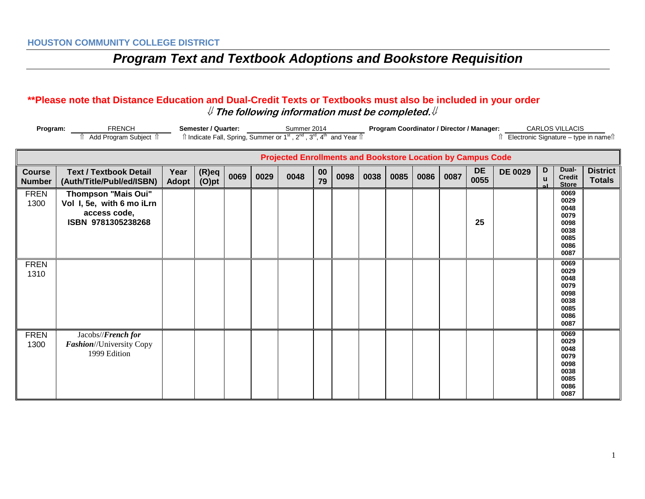#### **\*\*Please note that Distance Education and Dual-Credit Texts or Textbooks must also be included in your order** ⇓ **The following information must be completed.**⇓

| <b>FRENCH</b><br>Semester / Quarter:<br>Program:<br>Îl Indicate Fall, Spring, Summer or 1 <sup>st</sup> , 2 <sup>nd</sup> , 3 <sup>rd</sup> , 4 <sup>th</sup> and Year Îl<br>Add Program Subject 1 |                                                                                               |                      |                |      | Summer 2014 |                                                                    |              | Program Coordinator / Director / Manager:<br><b>CARLOS VILLACIS</b><br>Electronic Signature - type in names |      |      |      |      |                   |                |        |                                                                      |                                  |
|----------------------------------------------------------------------------------------------------------------------------------------------------------------------------------------------------|-----------------------------------------------------------------------------------------------|----------------------|----------------|------|-------------|--------------------------------------------------------------------|--------------|-------------------------------------------------------------------------------------------------------------|------|------|------|------|-------------------|----------------|--------|----------------------------------------------------------------------|----------------------------------|
|                                                                                                                                                                                                    |                                                                                               |                      |                |      |             | <b>Projected Enrollments and Bookstore Location by Campus Code</b> |              |                                                                                                             |      |      |      |      |                   |                |        |                                                                      |                                  |
| <b>Course</b><br><b>Number</b>                                                                                                                                                                     | <b>Text / Textbook Detail</b><br>(Auth/Title/Publ/ed/ISBN)                                    | Year<br><b>Adopt</b> | (R)eq<br>(O)pt | 0069 | 0029        | 0048                                                               | $00\,$<br>79 | 0098                                                                                                        | 0038 | 0085 | 0086 | 0087 | <b>DE</b><br>0055 | <b>DE 0029</b> | D<br>u | Dual-<br><b>Credit</b><br><b>Store</b>                               | <b>District</b><br><b>Totals</b> |
| <b>FREN</b><br>1300                                                                                                                                                                                | <b>Thompson "Mais Oui"</b><br>Vol I, 5e, with 6 mo iLrn<br>access code,<br>ISBN 9781305238268 |                      |                |      |             |                                                                    |              |                                                                                                             |      |      |      |      | 25                |                |        | 0069<br>0029<br>0048<br>0079<br>0098<br>0038<br>0085<br>0086<br>0087 |                                  |
| <b>FREN</b><br>1310                                                                                                                                                                                |                                                                                               |                      |                |      |             |                                                                    |              |                                                                                                             |      |      |      |      |                   |                |        | 0069<br>0029<br>0048<br>0079<br>0098<br>0038<br>0085<br>0086<br>0087 |                                  |
| <b>FREN</b><br>1300                                                                                                                                                                                | Jacobs//French for<br>Fashion//University Copy<br>1999 Edition                                |                      |                |      |             |                                                                    |              |                                                                                                             |      |      |      |      |                   |                |        | 0069<br>0029<br>0048<br>0079<br>0098<br>0038<br>0085<br>0086<br>0087 |                                  |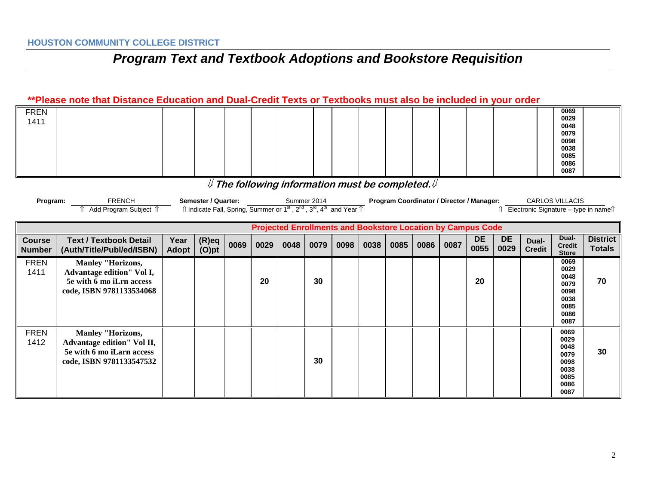#### **\*\*Please note that Distance Education and Dual-Credit Texts or Textbooks must also be included in your order**

| <b>FREN</b> |  |  |  |  |  |  |  | 0069 |  |
|-------------|--|--|--|--|--|--|--|------|--|
| 1411        |  |  |  |  |  |  |  | 0029 |  |
|             |  |  |  |  |  |  |  | 0048 |  |
|             |  |  |  |  |  |  |  | 0079 |  |
|             |  |  |  |  |  |  |  | 0098 |  |
|             |  |  |  |  |  |  |  | 0038 |  |
|             |  |  |  |  |  |  |  | 0085 |  |
|             |  |  |  |  |  |  |  | 0086 |  |
|             |  |  |  |  |  |  |  | 0087 |  |

### ⇓ **The following information must be completed.**⇓

| Program: | <b>FRENCH</b>       | Semester / Quarter: | Summer 2014                                                                                                                                         | <b>Program Coordinator / Director / Manager:</b> | <b>CARLOS VILLACIS</b>                |
|----------|---------------------|---------------------|-----------------------------------------------------------------------------------------------------------------------------------------------------|--------------------------------------------------|---------------------------------------|
|          | Add Program Subject |                     | $\hat{\parallel}$ Indicate Fall, Spring, Summer or 1 <sup>st</sup> , 2 <sup>nd</sup> , 3 <sup>rd</sup> , 4 <sup>th</sup> and Year $\hat{\parallel}$ |                                                  | Electronic Signature – type in namell |

|                                |                                                                                                                 |                      |                      |      | <b>Projected Enrollments and Bookstore Location by Campus Code</b> |      |      |      |      |      |      |      |                   |                   |                        |                                                                      |                                  |
|--------------------------------|-----------------------------------------------------------------------------------------------------------------|----------------------|----------------------|------|--------------------------------------------------------------------|------|------|------|------|------|------|------|-------------------|-------------------|------------------------|----------------------------------------------------------------------|----------------------------------|
| <b>Course</b><br><b>Number</b> | <b>Text / Textbook Detail</b><br>(Auth/Title/Publ/ed/ISBN)                                                      | Year<br><b>Adopt</b> | $(R)$ eq<br>$(O)$ pt | 0069 | 0029                                                               | 0048 | 0079 | 0098 | 0038 | 0085 | 0086 | 0087 | <b>DE</b><br>0055 | <b>DE</b><br>0029 | Dual-<br><b>Credit</b> | Dual-<br><b>Credit</b><br><b>Store</b>                               | <b>District</b><br><b>Totals</b> |
| <b>FREN</b><br>1411            | <b>Manley "Horizons,</b><br>Advantage edition" Vol I,<br>5e with 6 mo iLrn access<br>code, ISBN 9781133534068   |                      |                      |      | 20                                                                 |      | 30   |      |      |      |      |      | 20                |                   |                        | 0069<br>0029<br>0048<br>0079<br>0098<br>0038<br>0085<br>0086<br>0087 | 70                               |
| <b>FREN</b><br>1412            | <b>Manley "Horizons,</b><br>Advantage edition" Vol II,<br>5e with 6 mo iLarn access<br>code, ISBN 9781133547532 |                      |                      |      |                                                                    |      | 30   |      |      |      |      |      |                   |                   |                        | 0069<br>0029<br>0048<br>0079<br>0098<br>0038<br>0085<br>0086<br>0087 | 30                               |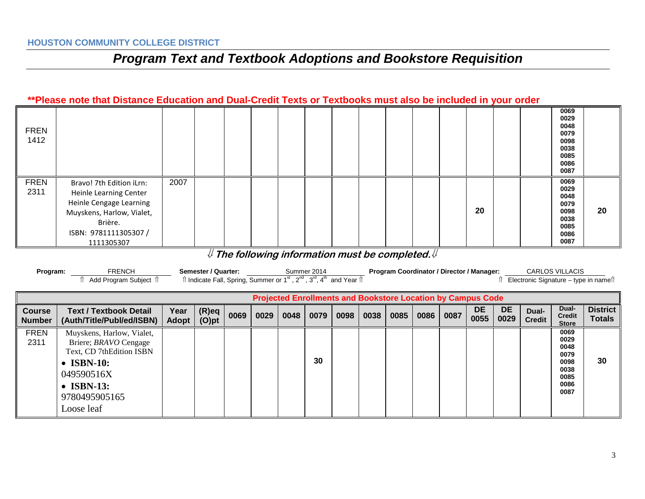#### **\*\*Please note that Distance Education and Dual-Credit Texts or Textbooks must also be included in your order**

| <b>FREN</b><br>1412 |                                                                                                                                                              |      |  |  |  |  |  |    |  | 0069<br>0029<br>0048<br>0079<br>0098<br>0038<br>0085<br>0086<br>0087 |    |
|---------------------|--------------------------------------------------------------------------------------------------------------------------------------------------------------|------|--|--|--|--|--|----|--|----------------------------------------------------------------------|----|
| <b>FREN</b><br>2311 | Bravo! 7th Edition iLrn:<br>Heinle Learning Center<br>Heinle Cengage Learning<br>Muyskens, Harlow, Vialet,<br>Brière.<br>ISBN: 9781111305307 /<br>1111305307 | 2007 |  |  |  |  |  | 20 |  | 0069<br>0029<br>0048<br>0079<br>0098<br>0038<br>0085<br>0086<br>0087 | 20 |

### ⇓ **The following information must be completed.**⇓

| Program:                       | <b>FRENCH</b><br>Add Program Subject 1                                                                                                                                         |                      | Semester / Quarter:<br>$\hat{\parallel}$ Indicate Fall, Spring, Summer or 1 <sup>st</sup> , 2 <sup>nd</sup> , 3 <sup>rd</sup> , 4 <sup>th</sup> and Year $\hat{\parallel}$ |      |      |      | Summer 2014 |      |      |      |      |      | Program Coordinator / Director / Manager:                          |                   |                        | <b>CARLOS VILLACIS</b><br>f Electronic Signature – type in namef     |                                  |
|--------------------------------|--------------------------------------------------------------------------------------------------------------------------------------------------------------------------------|----------------------|----------------------------------------------------------------------------------------------------------------------------------------------------------------------------|------|------|------|-------------|------|------|------|------|------|--------------------------------------------------------------------|-------------------|------------------------|----------------------------------------------------------------------|----------------------------------|
|                                |                                                                                                                                                                                |                      |                                                                                                                                                                            |      |      |      |             |      |      |      |      |      | <b>Projected Enrollments and Bookstore Location by Campus Code</b> |                   |                        |                                                                      |                                  |
| <b>Course</b><br><b>Number</b> | <b>Text / Textbook Detail</b><br>(Auth/Title/Publ/ed/ISBN)                                                                                                                     | Year<br><b>Adopt</b> | $(R)$ eq<br>$(O)$ pt                                                                                                                                                       | 0069 | 0029 | 0048 | 0079        | 0098 | 0038 | 0085 | 0086 | 0087 | <b>DE</b><br>0055                                                  | <b>DE</b><br>0029 | Dual-<br><b>Credit</b> | Dual-<br><b>Credit</b><br><b>Store</b>                               | <b>District</b><br><b>Totals</b> |
| <b>FREN</b><br>2311            | Muyskens, Harlow, Vialet,<br>Briere; <i>BRAVO</i> Cengage<br>Text, CD 7thEdition ISBN<br>$\bullet$ ISBN-10:<br>049590516X<br>$\bullet$ ISBN-13:<br>9780495905165<br>Loose leaf |                      |                                                                                                                                                                            |      |      |      | 30          |      |      |      |      |      |                                                                    |                   |                        | 0069<br>0029<br>0048<br>0079<br>0098<br>0038<br>0085<br>0086<br>0087 | 30                               |